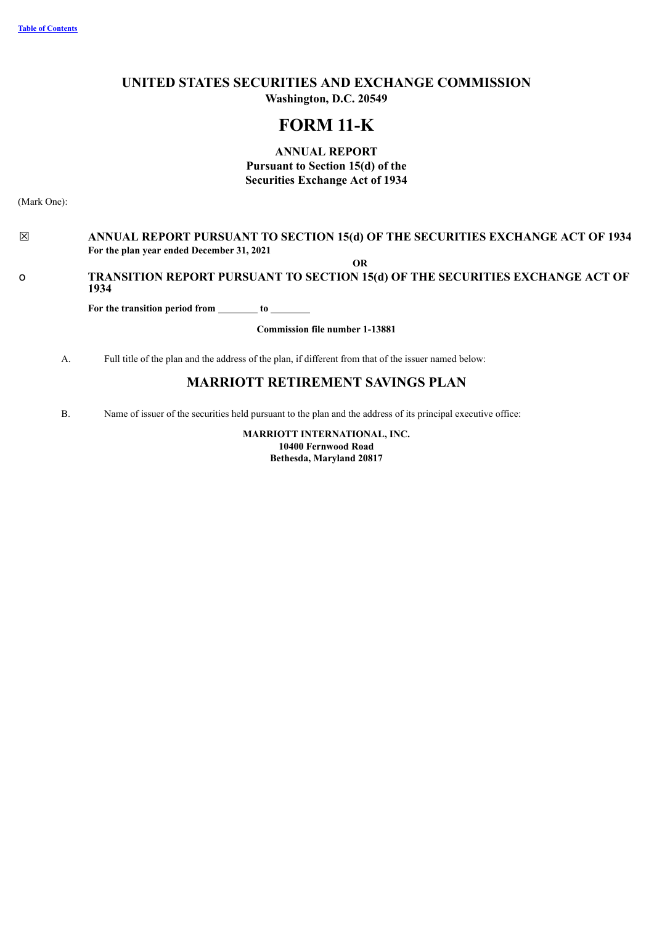# **UNITED STATES SECURITIES AND EXCHANGE COMMISSION Washington, D.C. 20549**

# **FORM 11-K**

**ANNUAL REPORT Pursuant to Section 15(d) of the Securities Exchange Act of 1934**

(Mark One):

# ☒ **ANNUAL REPORT PURSUANT TO SECTION 15(d) OF THE SECURITIES EXCHANGE ACT OF 1934 For the plan year ended December 31, 2021**

**OR**

# o **TRANSITION REPORT PURSUANT TO SECTION 15(d) OF THE SECURITIES EXCHANGE ACT OF 1934**

**For the transition period from to**

**Commission file number 1-13881**

A. Full title of the plan and the address of the plan, if different from that of the issuer named below:

# **MARRIOTT RETIREMENT SAVINGS PLAN**

<span id="page-0-0"></span>B. Name of issuer of the securities held pursuant to the plan and the address of its principal executive office:

**MARRIOTT INTERNATIONAL, INC. 10400 Fernwood Road Bethesda, Maryland 20817**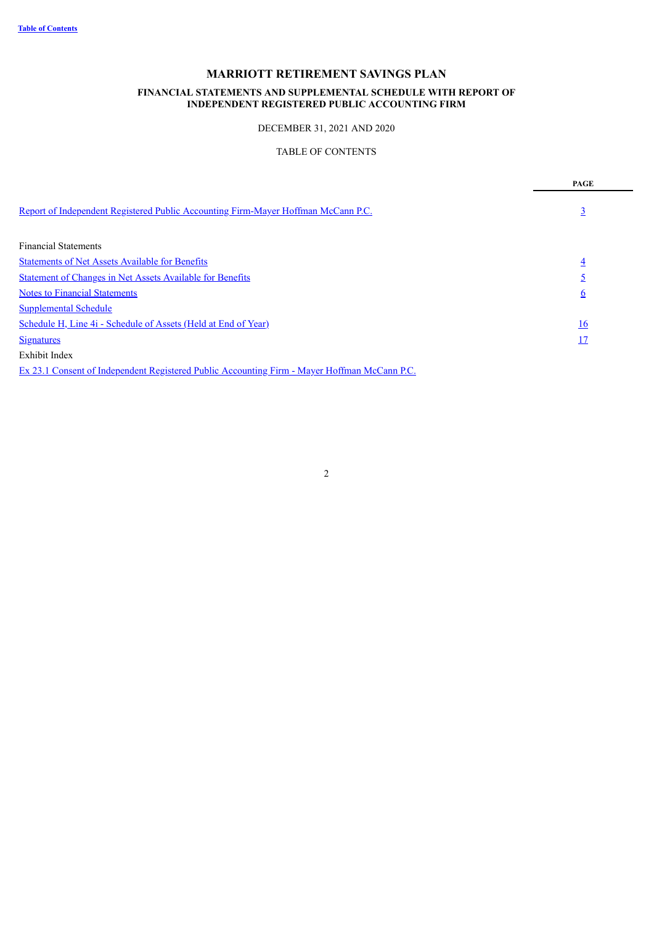### **FINANCIAL STATEMENTS AND SUPPLEMENTAL SCHEDULE WITH REPORT OF INDEPENDENT REGISTERED PUBLIC ACCOUNTING FIRM**

### DECEMBER 31, 2021 AND 2020

# TABLE OF CONTENTS

|                                                                                   | PAGE           |
|-----------------------------------------------------------------------------------|----------------|
| Report of Independent Registered Public Accounting Firm-Mayer Hoffman McCann P.C. | $\overline{3}$ |
| <b>Financial Statements</b>                                                       |                |
| <b>Statements of Net Assets Available for Benefits</b>                            | $\overline{4}$ |
| <b>Statement of Changes in Net Assets Available for Benefits</b>                  |                |
| <b>Notes to Financial Statements</b>                                              | $\overline{6}$ |
| <b>Supplemental Schedule</b>                                                      |                |
| Schedule H, Line 4i - Schedule of Assets (Held at End of Year)                    | <u>16</u>      |
| <b>Signatures</b>                                                                 | <u> 17</u>     |
| <b>Exhibit Index</b>                                                              |                |
| <b>PAIA</b> (CILIDE) IN THE CRITIC MAIN                                           |                |

<span id="page-1-0"></span>Ex 23.1 Consent of [Independent](#page-17-0) Registered Public Accounting Firm - Mayer Hoffman McCann P.C.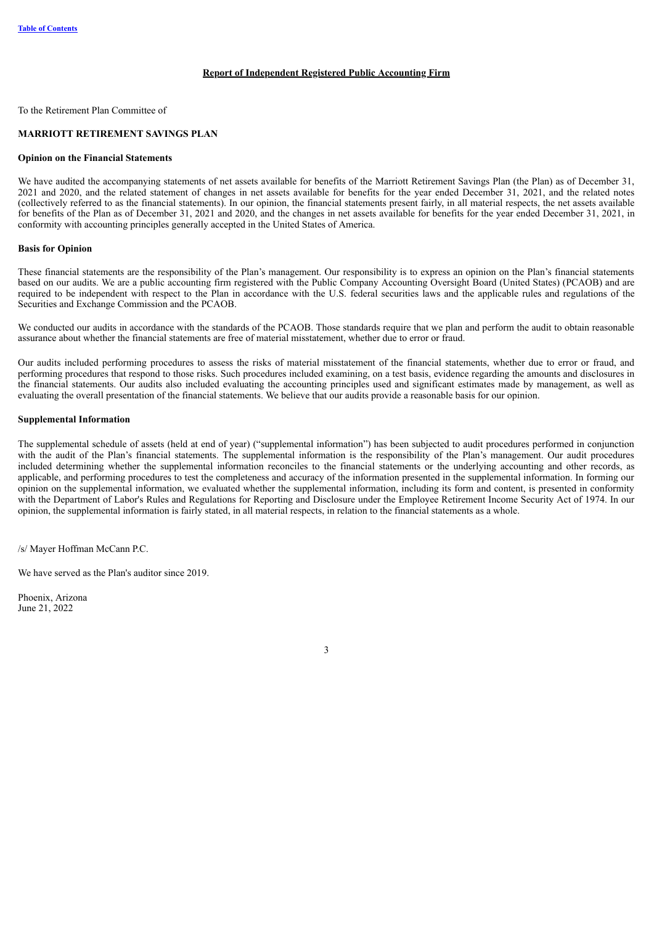#### **Report of Independent Registered Public Accounting Firm**

To the Retirement Plan Committee of

#### **MARRIOTT RETIREMENT SAVINGS PLAN**

#### **Opinion on the Financial Statements**

We have audited the accompanying statements of net assets available for benefits of the Marriott Retirement Savings Plan (the Plan) as of December 31, 2021 and 2020, and the related statement of changes in net assets available for benefits for the year ended December 31, 2021, and the related notes (collectively referred to as the financial statements). In our opinion, the financial statements present fairly, in all material respects, the net assets available for benefits of the Plan as of December 31, 2021 and 2020, and the changes in net assets available for benefits for the year ended December 31, 2021, in conformity with accounting principles generally accepted in the United States of America.

#### **Basis for Opinion**

These financial statements are the responsibility of the Plan's management. Our responsibility is to express an opinion on the Plan's financial statements based on our audits. We are a public accounting firm registered with the Public Company Accounting Oversight Board (United States) (PCAOB) and are required to be independent with respect to the Plan in accordance with the U.S. federal securities laws and the applicable rules and regulations of the Securities and Exchange Commission and the PCAOB.

We conducted our audits in accordance with the standards of the PCAOB. Those standards require that we plan and perform the audit to obtain reasonable assurance about whether the financial statements are free of material misstatement, whether due to error or fraud.

Our audits included performing procedures to assess the risks of material misstatement of the financial statements, whether due to error or fraud, and performing procedures that respond to those risks. Such procedures included examining, on a test basis, evidence regarding the amounts and disclosures in the financial statements. Our audits also included evaluating the accounting principles used and significant estimates made by management, as well as evaluating the overall presentation of the financial statements. We believe that our audits provide a reasonable basis for our opinion.

#### **Supplemental Information**

The supplemental schedule of assets (held at end of year) ("supplemental information") has been subjected to audit procedures performed in conjunction with the audit of the Plan's financial statements. The supplemental information is the responsibility of the Plan's management. Our audit procedures included determining whether the supplemental information reconciles to the financial statements or the underlying accounting and other records, as applicable, and performing procedures to test the completeness and accuracy of the information presented in the supplemental information. In forming our opinion on the supplemental information, we evaluated whether the supplemental information, including its form and content, is presented in conformity with the Department of Labor's Rules and Regulations for Reporting and Disclosure under the Employee Retirement Income Security Act of 1974. In our opinion, the supplemental information is fairly stated, in all material respects, in relation to the financial statements as a whole.

/s/ Mayer Hoffman McCann P.C.

We have served as the Plan's auditor since 2019.

<span id="page-2-0"></span>Phoenix, Arizona June 21, 2022

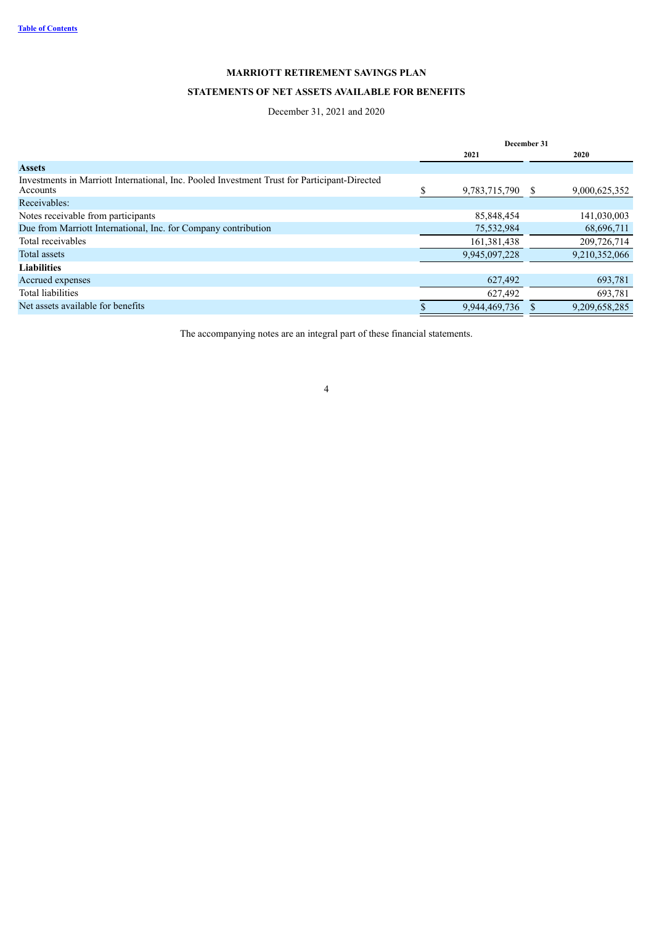# **STATEMENTS OF NET ASSETS AVAILABLE FOR BENEFITS**

### December 31, 2021 and 2020

|                                                                                                          | December 31 |               |              |               |
|----------------------------------------------------------------------------------------------------------|-------------|---------------|--------------|---------------|
|                                                                                                          |             | 2021          |              | 2020          |
| <b>Assets</b>                                                                                            |             |               |              |               |
| Investments in Marriott International, Inc. Pooled Investment Trust for Participant-Directed<br>Accounts |             | 9,783,715,790 | <sup>S</sup> | 9,000,625,352 |
| Receivables:                                                                                             |             |               |              |               |
| Notes receivable from participants                                                                       |             | 85,848,454    |              | 141,030,003   |
| Due from Marriott International, Inc. for Company contribution                                           |             | 75,532,984    |              | 68,696,711    |
| Total receivables                                                                                        |             | 161,381,438   |              | 209,726,714   |
| Total assets                                                                                             |             | 9,945,097,228 |              | 9,210,352,066 |
| <b>Liabilities</b>                                                                                       |             |               |              |               |
| Accrued expenses                                                                                         |             | 627,492       |              | 693,781       |
| Total liabilities                                                                                        |             | 627,492       |              | 693,781       |
| Net assets available for benefits                                                                        |             | 9,944,469,736 |              | 9,209,658,285 |

<span id="page-3-0"></span>The accompanying notes are an integral part of these financial statements.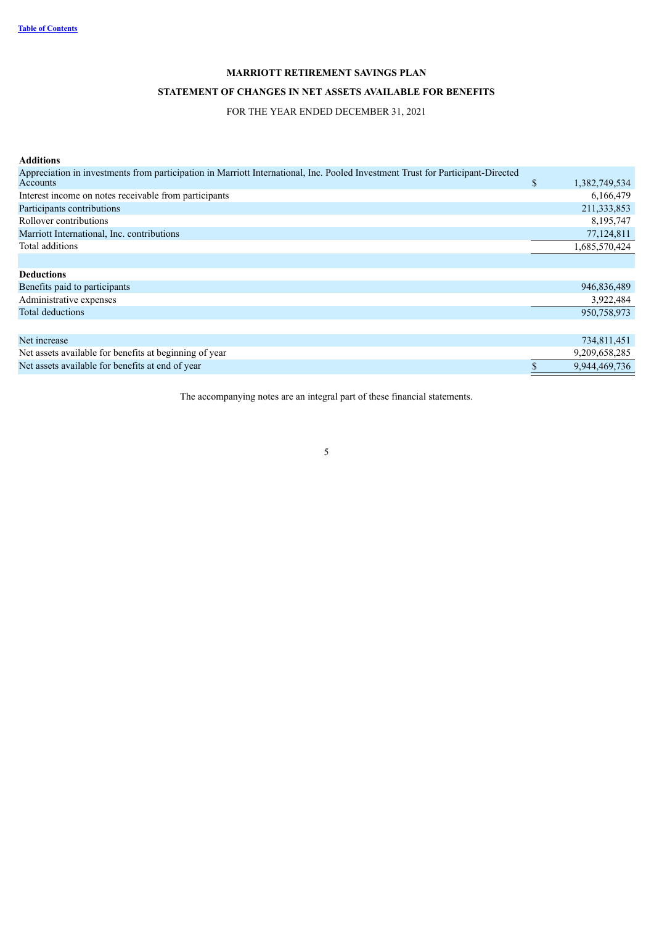# **STATEMENT OF CHANGES IN NET ASSETS AVAILABLE FOR BENEFITS**

### FOR THE YEAR ENDED DECEMBER 31, 2021

| <b>Additions</b>                                                                                                                            |              |               |
|---------------------------------------------------------------------------------------------------------------------------------------------|--------------|---------------|
| Appreciation in investments from participation in Marriott International, Inc. Pooled Investment Trust for Participant-Directed<br>Accounts | $\mathbb{S}$ | 1,382,749,534 |
| Interest income on notes receivable from participants                                                                                       |              | 6,166,479     |
| Participants contributions                                                                                                                  |              | 211,333,853   |
| Rollover contributions                                                                                                                      |              | 8,195,747     |
| Marriott International, Inc. contributions                                                                                                  |              | 77,124,811    |
| Total additions                                                                                                                             |              | 1,685,570,424 |
|                                                                                                                                             |              |               |
| <b>Deductions</b>                                                                                                                           |              |               |
| Benefits paid to participants                                                                                                               |              | 946,836,489   |
| Administrative expenses                                                                                                                     |              | 3,922,484     |
| <b>Total deductions</b>                                                                                                                     |              | 950,758,973   |
|                                                                                                                                             |              |               |
| Net increase                                                                                                                                |              | 734,811,451   |
| Net assets available for benefits at beginning of year                                                                                      |              | 9,209,658,285 |
| Net assets available for benefits at end of year                                                                                            |              | 9,944,469,736 |

<span id="page-4-0"></span>The accompanying notes are an integral part of these financial statements.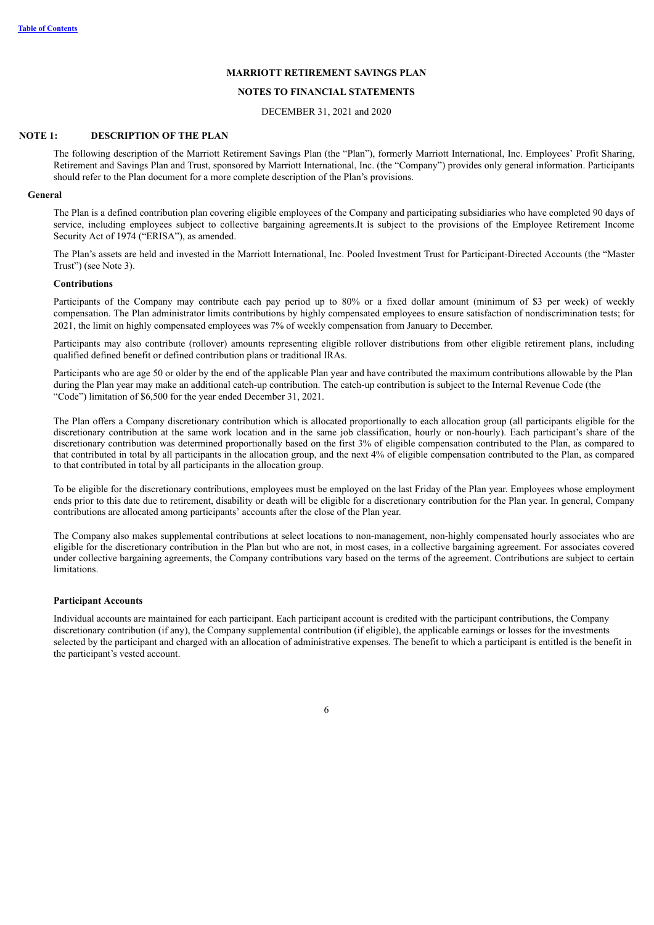#### **NOTES TO FINANCIAL STATEMENTS**

DECEMBER 31, 2021 and 2020

#### **NOTE 1: DESCRIPTION OF THE PLAN**

The following description of the Marriott Retirement Savings Plan (the "Plan"), formerly Marriott International, Inc. Employees' Profit Sharing, Retirement and Savings Plan and Trust, sponsored by Marriott International, Inc. (the "Company") provides only general information. Participants should refer to the Plan document for a more complete description of the Plan's provisions.

#### **General**

The Plan is a defined contribution plan covering eligible employees of the Company and participating subsidiaries who have completed 90 days of service, including employees subject to collective bargaining agreements.It is subject to the provisions of the Employee Retirement Income Security Act of 1974 ("ERISA"), as amended.

The Plan's assets are held and invested in the Marriott International, Inc. Pooled Investment Trust for Participant-Directed Accounts (the "Master Trust") (see Note 3).

#### **Contributions**

Participants of the Company may contribute each pay period up to 80% or a fixed dollar amount (minimum of \$3 per week) of weekly compensation. The Plan administrator limits contributions by highly compensated employees to ensure satisfaction of nondiscrimination tests; for 2021, the limit on highly compensated employees was 7% of weekly compensation from January to December.

Participants may also contribute (rollover) amounts representing eligible rollover distributions from other eligible retirement plans, including qualified defined benefit or defined contribution plans or traditional IRAs.

Participants who are age 50 or older by the end of the applicable Plan year and have contributed the maximum contributions allowable by the Plan during the Plan year may make an additional catch-up contribution. The catch-up contribution is subject to the Internal Revenue Code (the "Code") limitation of \$6,500 for the year ended December 31, 2021.

The Plan offers a Company discretionary contribution which is allocated proportionally to each allocation group (all participants eligible for the discretionary contribution at the same work location and in the same job classification, hourly or non-hourly). Each participant's share of the discretionary contribution was determined proportionally based on the first 3% of eligible compensation contributed to the Plan, as compared to that contributed in total by all participants in the allocation group, and the next 4% of eligible compensation contributed to the Plan, as compared to that contributed in total by all participants in the allocation group.

To be eligible for the discretionary contributions, employees must be employed on the last Friday of the Plan year. Employees whose employment ends prior to this date due to retirement, disability or death will be eligible for a discretionary contribution for the Plan year. In general, Company contributions are allocated among participants' accounts after the close of the Plan year.

The Company also makes supplemental contributions at select locations to non-management, non-highly compensated hourly associates who are eligible for the discretionary contribution in the Plan but who are not, in most cases, in a collective bargaining agreement. For associates covered under collective bargaining agreements, the Company contributions vary based on the terms of the agreement. Contributions are subject to certain **limitations** 

#### **Participant Accounts**

Individual accounts are maintained for each participant. Each participant account is credited with the participant contributions, the Company discretionary contribution (if any), the Company supplemental contribution (if eligible), the applicable earnings or losses for the investments selected by the participant and charged with an allocation of administrative expenses. The benefit to which a participant is entitled is the benefit in the participant's vested account.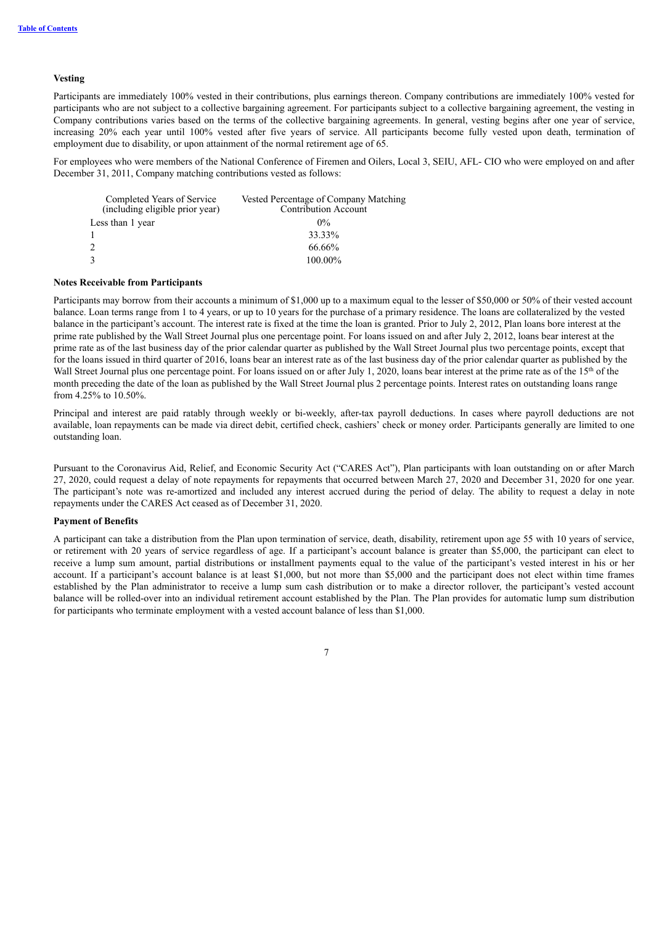### **Vesting**

Participants are immediately 100% vested in their contributions, plus earnings thereon. Company contributions are immediately 100% vested for participants who are not subject to a collective bargaining agreement. For participants subject to a collective bargaining agreement, the vesting in Company contributions varies based on the terms of the collective bargaining agreements. In general, vesting begins after one year of service, increasing 20% each year until 100% vested after five years of service. All participants become fully vested upon death, termination of employment due to disability, or upon attainment of the normal retirement age of 65.

For employees who were members of the National Conference of Firemen and Oilers, Local 3, SEIU, AFL- CIO who were employed on and after December 31, 2011, Company matching contributions vested as follows:

| Completed Years of Service<br>(including eligible prior year) | Vested Percentage of Company Matching<br><b>Contribution Account</b> |
|---------------------------------------------------------------|----------------------------------------------------------------------|
| Less than 1 year                                              | $0\%$                                                                |
|                                                               | 33.33%                                                               |
| 2                                                             | 66.66%                                                               |
| $\mathcal{F}$                                                 | 100.00%                                                              |

#### **Notes Receivable from Participants**

Participants may borrow from their accounts a minimum of \$1,000 up to a maximum equal to the lesser of \$50,000 or 50% of their vested account balance. Loan terms range from 1 to 4 years, or up to 10 years for the purchase of a primary residence. The loans are collateralized by the vested balance in the participant's account. The interest rate is fixed at the time the loan is granted. Prior to July 2, 2012, Plan loans bore interest at the prime rate published by the Wall Street Journal plus one percentage point. For loans issued on and after July 2, 2012, loans bear interest at the prime rate as of the last business day of the prior calendar quarter as published by the Wall Street Journal plus two percentage points, except that for the loans issued in third quarter of 2016, loans bear an interest rate as of the last business day of the prior calendar quarter as published by the Wall Street Journal plus one percentage point. For loans issued on or after July 1, 2020, loans bear interest at the prime rate as of the 15<sup>th</sup> of the month preceding the date of the loan as published by the Wall Street Journal plus 2 percentage points. Interest rates on outstanding loans range from 4.25% to 10.50%.

Principal and interest are paid ratably through weekly or bi-weekly, after-tax payroll deductions. In cases where payroll deductions are not available, loan repayments can be made via direct debit, certified check, cashiers' check or money order. Participants generally are limited to one outstanding loan.

Pursuant to the Coronavirus Aid, Relief, and Economic Security Act ("CARES Act"), Plan participants with loan outstanding on or after March 27, 2020, could request a delay of note repayments for repayments that occurred between March 27, 2020 and December 31, 2020 for one year. The participant's note was re-amortized and included any interest accrued during the period of delay. The ability to request a delay in note repayments under the CARES Act ceased as of December 31, 2020.

### **Payment of Benefits**

A participant can take a distribution from the Plan upon termination of service, death, disability, retirement upon age 55 with 10 years of service, or retirement with 20 years of service regardless of age. If a participant's account balance is greater than \$5,000, the participant can elect to receive a lump sum amount, partial distributions or installment payments equal to the value of the participant's vested interest in his or her account. If a participant's account balance is at least \$1,000, but not more than \$5,000 and the participant does not elect within time frames established by the Plan administrator to receive a lump sum cash distribution or to make a director rollover, the participant's vested account balance will be rolled-over into an individual retirement account established by the Plan. The Plan provides for automatic lump sum distribution for participants who terminate employment with a vested account balance of less than \$1,000.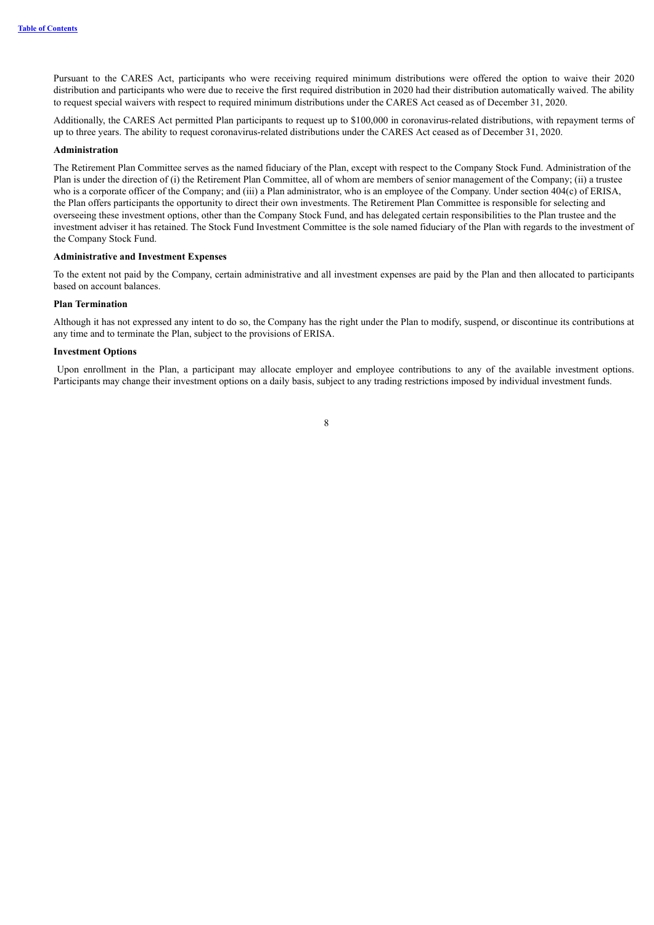Pursuant to the CARES Act, participants who were receiving required minimum distributions were offered the option to waive their 2020 distribution and participants who were due to receive the first required distribution in 2020 had their distribution automatically waived. The ability to request special waivers with respect to required minimum distributions under the CARES Act ceased as of December 31, 2020.

Additionally, the CARES Act permitted Plan participants to request up to \$100,000 in coronavirus-related distributions, with repayment terms of up to three years. The ability to request coronavirus-related distributions under the CARES Act ceased as of December 31, 2020.

#### **Administration**

The Retirement Plan Committee serves as the named fiduciary of the Plan, except with respect to the Company Stock Fund. Administration of the Plan is under the direction of (i) the Retirement Plan Committee, all of whom are members of senior management of the Company; (ii) a trustee who is a corporate officer of the Company; and (iii) a Plan administrator, who is an employee of the Company. Under section 404(c) of ERISA, the Plan offers participants the opportunity to direct their own investments. The Retirement Plan Committee is responsible for selecting and overseeing these investment options, other than the Company Stock Fund, and has delegated certain responsibilities to the Plan trustee and the investment adviser it has retained. The Stock Fund Investment Committee is the sole named fiduciary of the Plan with regards to the investment of the Company Stock Fund.

#### **Administrative and Investment Expenses**

To the extent not paid by the Company, certain administrative and all investment expenses are paid by the Plan and then allocated to participants based on account balances.

#### **Plan Termination**

Although it has not expressed any intent to do so, the Company has the right under the Plan to modify, suspend, or discontinue its contributions at any time and to terminate the Plan, subject to the provisions of ERISA.

#### **Investment Options**

Upon enrollment in the Plan, a participant may allocate employer and employee contributions to any of the available investment options. Participants may change their investment options on a daily basis, subject to any trading restrictions imposed by individual investment funds.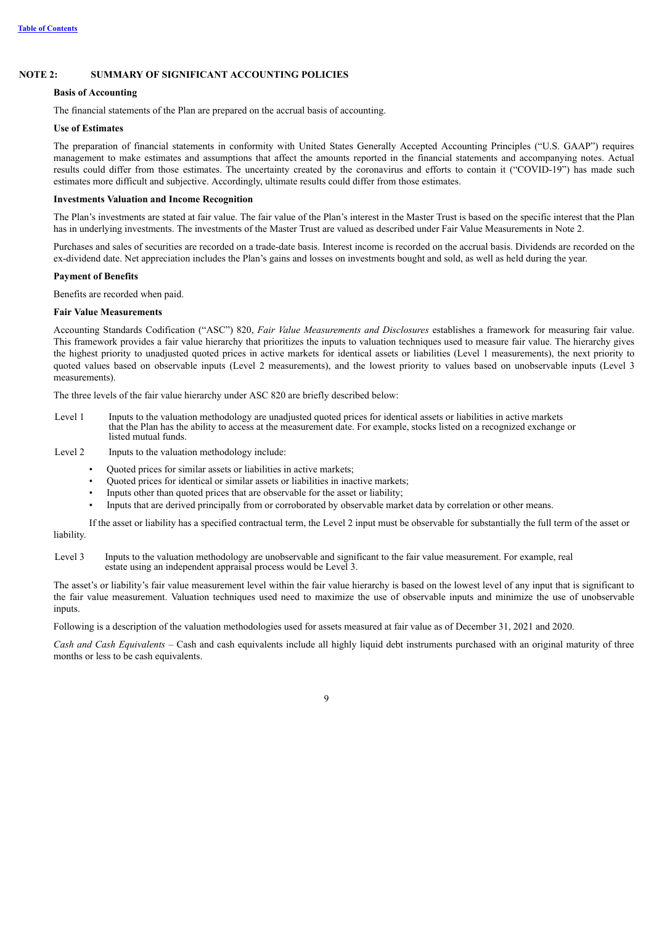### **NOTE 2: SUMMARY OF SIGNIFICANT ACCOUNTING POLICIES**

#### **Basis of Accounting**

The financial statements of the Plan are prepared on the accrual basis of accounting.

#### **Use of Estimates**

The preparation of financial statements in conformity with United States Generally Accepted Accounting Principles ("U.S. GAAP") requires management to make estimates and assumptions that affect the amounts reported in the financial statements and accompanying notes. Actual results could differ from those estimates. The uncertainty created by the coronavirus and efforts to contain it ("COVID-19") has made such estimates more difficult and subjective. Accordingly, ultimate results could differ from those estimates.

#### **Investments Valuation and Income Recognition**

The Plan's investments are stated at fair value. The fair value of the Plan's interest in the Master Trust is based on the specific interest that the Plan has in underlying investments. The investments of the Master Trust are valued as described under Fair Value Measurements in Note 2.

Purchases and sales of securities are recorded on a trade-date basis. Interest income is recorded on the accrual basis. Dividends are recorded on the ex-dividend date. Net appreciation includes the Plan's gains and losses on investments bought and sold, as well as held during the year.

#### **Payment of Benefits**

Benefits are recorded when paid.

#### **Fair Value Measurements**

Accounting Standards Codification ("ASC") 820, *Fair Value Measurements and Disclosures* establishes a framework for measuring fair value. This framework provides a fair value hierarchy that prioritizes the inputs to valuation techniques used to measure fair value. The hierarchy gives the highest priority to unadjusted quoted prices in active markets for identical assets or liabilities (Level 1 measurements), the next priority to quoted values based on observable inputs (Level 2 measurements), and the lowest priority to values based on unobservable inputs (Level 3 measurements).

The three levels of the fair value hierarchy under ASC 820 are briefly described below:

Level 1 Inputs to the valuation methodology are unadjusted quoted prices for identical assets or liabilities in active markets that the Plan has the ability to access at the measurement date. For example, stocks listed on a recognized exchange or listed mutual funds.

Level 2 Inputs to the valuation methodology include:

- Quoted prices for similar assets or liabilities in active markets;
- Quoted prices for identical or similar assets or liabilities in inactive markets;
- Inputs other than quoted prices that are observable for the asset or liability;
- Inputs that are derived principally from or corroborated by observable market data by correlation or other means.

If the asset or liability has a specified contractual term, the Level 2 input must be observable for substantially the full term of the asset or liability.

Level 3 Inputs to the valuation methodology are unobservable and significant to the fair value measurement. For example, real estate using an independent appraisal process would be Level 3.

The asset's or liability's fair value measurement level within the fair value hierarchy is based on the lowest level of any input that is significant to the fair value measurement. Valuation techniques used need to maximize the use of observable inputs and minimize the use of unobservable inputs.

Following is a description of the valuation methodologies used for assets measured at fair value as of December 31, 2021 and 2020.

*Cash and Cash Equivalents –* Cash and cash equivalents include all highly liquid debt instruments purchased with an original maturity of three months or less to be cash equivalents.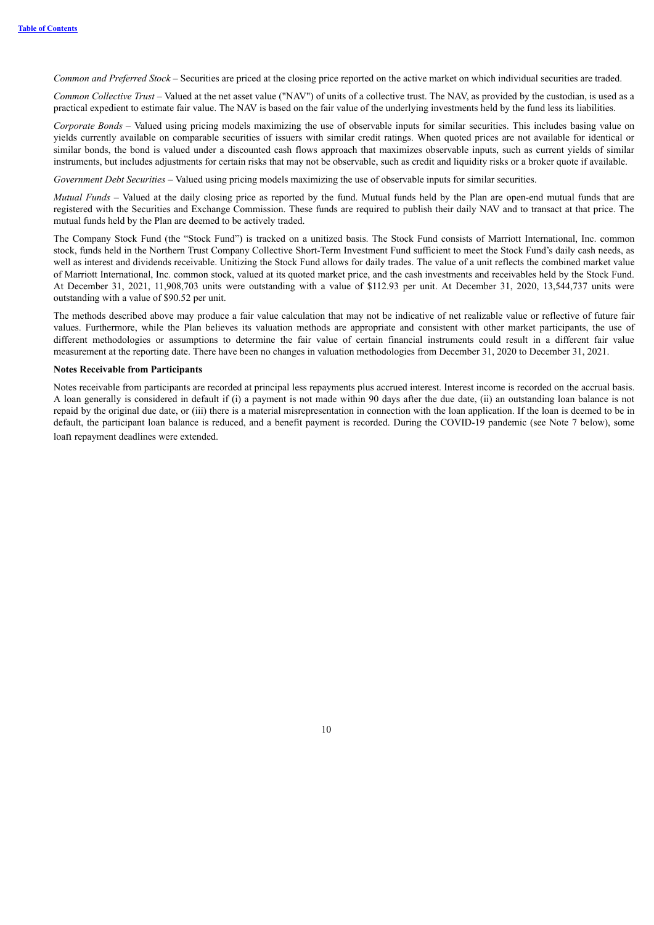*Common and Preferred Stock –* Securities are priced at the closing price reported on the active market on which individual securities are traded.

*Common Collective Trust* – Valued at the net asset value ("NAV") of units of a collective trust. The NAV, as provided by the custodian, is used as a practical expedient to estimate fair value. The NAV is based on the fair value of the underlying investments held by the fund less its liabilities.

*Corporate Bonds –* Valued using pricing models maximizing the use of observable inputs for similar securities. This includes basing value on yields currently available on comparable securities of issuers with similar credit ratings. When quoted prices are not available for identical or similar bonds, the bond is valued under a discounted cash flows approach that maximizes observable inputs, such as current yields of similar instruments, but includes adjustments for certain risks that may not be observable, such as credit and liquidity risks or a broker quote if available.

*Government Debt Securities –* Valued using pricing models maximizing the use of observable inputs for similar securities.

*Mutual Funds* – Valued at the daily closing price as reported by the fund. Mutual funds held by the Plan are open-end mutual funds that are registered with the Securities and Exchange Commission. These funds are required to publish their daily NAV and to transact at that price. The mutual funds held by the Plan are deemed to be actively traded.

The Company Stock Fund (the "Stock Fund") is tracked on a unitized basis. The Stock Fund consists of Marriott International, Inc. common stock, funds held in the Northern Trust Company Collective Short-Term Investment Fund sufficient to meet the Stock Fund's daily cash needs, as well as interest and dividends receivable. Unitizing the Stock Fund allows for daily trades. The value of a unit reflects the combined market value of Marriott International, Inc. common stock, valued at its quoted market price, and the cash investments and receivables held by the Stock Fund. At December 31, 2021, 11,908,703 units were outstanding with a value of \$112.93 per unit. At December 31, 2020, 13,544,737 units were outstanding with a value of \$90.52 per unit.

The methods described above may produce a fair value calculation that may not be indicative of net realizable value or reflective of future fair values. Furthermore, while the Plan believes its valuation methods are appropriate and consistent with other market participants, the use of different methodologies or assumptions to determine the fair value of certain financial instruments could result in a different fair value measurement at the reporting date. There have been no changes in valuation methodologies from December 31, 2020 to December 31, 2021.

#### **Notes Receivable from Participants**

Notes receivable from participants are recorded at principal less repayments plus accrued interest. Interest income is recorded on the accrual basis. A loan generally is considered in default if (i) a payment is not made within 90 days after the due date, (ii) an outstanding loan balance is not repaid by the original due date, or (iii) there is a material misrepresentation in connection with the loan application. If the loan is deemed to be in default, the participant loan balance is reduced, and a benefit payment is recorded. During the COVID-19 pandemic (see Note 7 below), some loan repayment deadlines were extended.

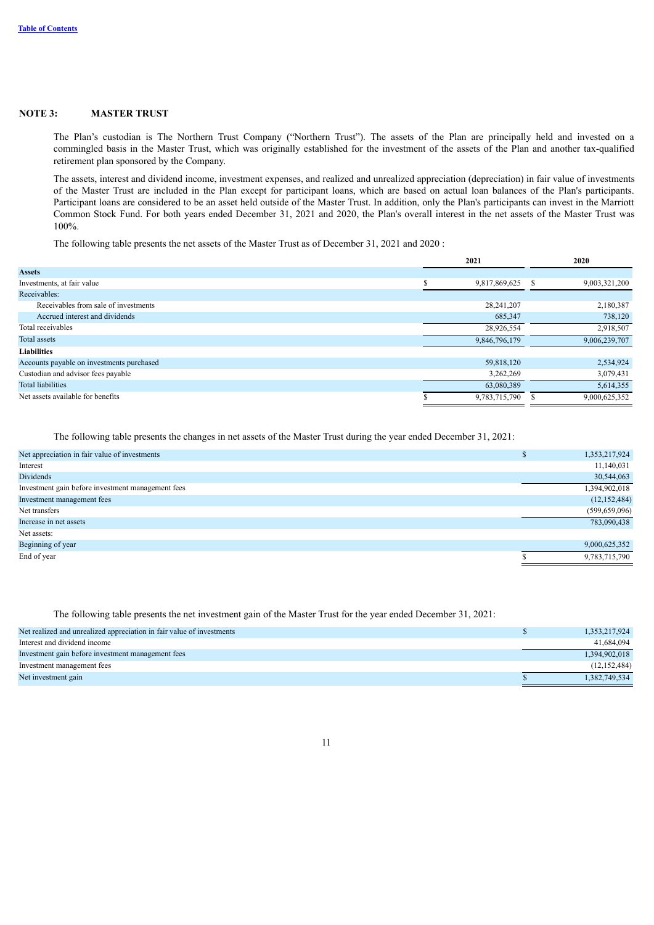#### **NOTE 3: MASTER TRUST**

The Plan's custodian is The Northern Trust Company ("Northern Trust"). The assets of the Plan are principally held and invested on a commingled basis in the Master Trust, which was originally established for the investment of the assets of the Plan and another tax-qualified retirement plan sponsored by the Company.

The assets, interest and dividend income, investment expenses, and realized and unrealized appreciation (depreciation) in fair value of investments of the Master Trust are included in the Plan except for participant loans, which are based on actual loan balances of the Plan's participants. Participant loans are considered to be an asset held outside of the Master Trust. In addition, only the Plan's participants can invest in the Marriott Common Stock Fund. For both years ended December 31, 2021 and 2020, the Plan's overall interest in the net assets of the Master Trust was 100%.

The following table presents the net assets of the Master Trust as of December 31, 2021 and 2020 :

|                                           | 2021                | 2020          |
|-------------------------------------------|---------------------|---------------|
| <b>Assets</b>                             |                     |               |
| Investments, at fair value                | \$<br>9,817,869,625 | 9,003,321,200 |
| Receivables:                              |                     |               |
| Receivables from sale of investments      | 28,241,207          | 2,180,387     |
| Accrued interest and dividends            | 685,347             | 738,120       |
| Total receivables                         | 28,926,554          | 2,918,507     |
| <b>Total assets</b>                       | 9,846,796,179       | 9,006,239,707 |
| <b>Liabilities</b>                        |                     |               |
| Accounts payable on investments purchased | 59,818,120          | 2,534,924     |
| Custodian and advisor fees payable        | 3,262,269           | 3,079,431     |
| <b>Total liabilities</b>                  | 63,080,389          | 5,614,355     |
| Net assets available for benefits         | 9,783,715,790       | 9,000,625,352 |

The following table presents the changes in net assets of the Master Trust during the year ended December 31, 2021:

| Net appreciation in fair value of investments     | 1,353,217,924   |
|---------------------------------------------------|-----------------|
| Interest                                          | 11,140,031      |
| <b>Dividends</b>                                  | 30,544,063      |
| Investment gain before investment management fees | 1,394,902,018   |
| Investment management fees                        | (12, 152, 484)  |
| Net transfers                                     | (599, 659, 096) |
| Increase in net assets                            | 783,090,438     |
| Net assets:                                       |                 |
| Beginning of year                                 | 9,000,625,352   |
| End of year                                       | 9,783,715,790   |

The following table presents the net investment gain of the Master Trust for the year ended December 31, 2021:

| Net realized and unrealized appreciation in fair value of investments | 1,353,217,924  |
|-----------------------------------------------------------------------|----------------|
| Interest and dividend income                                          | 41,684,094     |
| Investment gain before investment management fees                     | 1,394,902,018  |
| Investment management fees                                            | (12, 152, 484) |
| Net investment gain                                                   | 1,382,749,534  |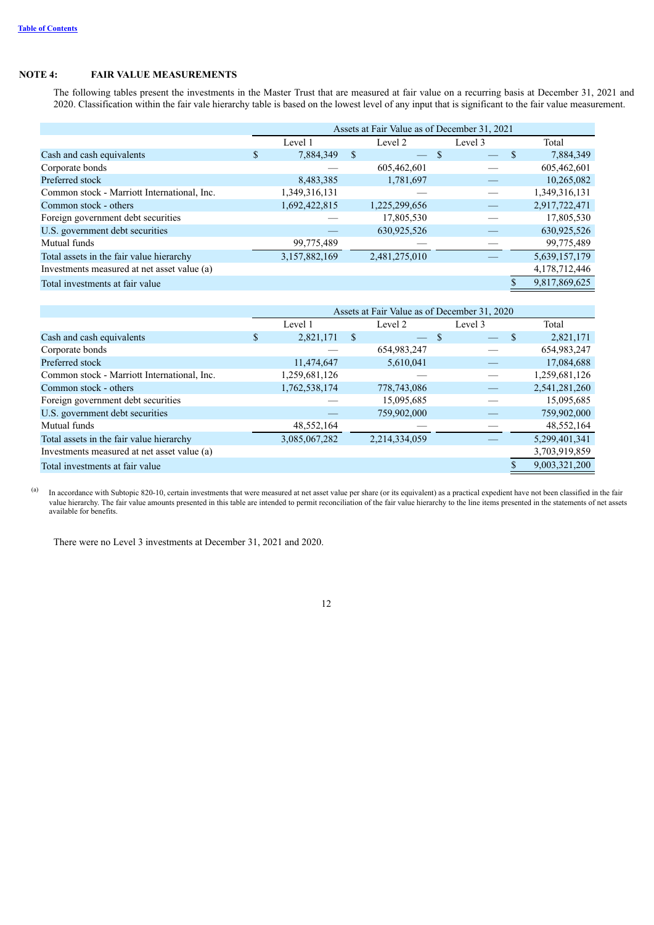### **NOTE 4: FAIR VALUE MEASUREMENTS**

The following tables present the investments in the Master Trust that are measured at fair value on a recurring basis at December 31, 2021 and 2020. Classification within the fair vale hierarchy table is based on the lowest level of any input that is significant to the fair value measurement.

|                                             |    | Assets at Fair Value as of December 31, 2021 |   |               |         |  |               |  |
|---------------------------------------------|----|----------------------------------------------|---|---------------|---------|--|---------------|--|
|                                             |    | Level 1                                      |   | Level 2       | Level 3 |  | Total         |  |
| Cash and cash equivalents                   | S. | 7,884,349                                    | S |               |         |  | 7,884,349     |  |
| Corporate bonds                             |    |                                              |   | 605,462,601   |         |  | 605,462,601   |  |
| Preferred stock                             |    | 8,483,385                                    |   | 1,781,697     |         |  | 10,265,082    |  |
| Common stock - Marriott International, Inc. |    | 1,349,316,131                                |   |               |         |  | 1,349,316,131 |  |
| Common stock - others                       |    | 1,692,422,815                                |   | 1,225,299,656 |         |  | 2,917,722,471 |  |
| Foreign government debt securities          |    |                                              |   | 17,805,530    |         |  | 17,805,530    |  |
| U.S. government debt securities             |    |                                              |   | 630,925,526   |         |  | 630,925,526   |  |
| Mutual funds                                |    | 99,775,489                                   |   |               |         |  | 99,775,489    |  |
| Total assets in the fair value hierarchy    |    | 3,157,882,169                                |   | 2,481,275,010 |         |  | 5,639,157,179 |  |
| Investments measured at net asset value (a) |    |                                              |   |               |         |  | 4,178,712,446 |  |
| Total investments at fair value             |    |                                              |   |               |         |  | 9,817,869,625 |  |

|                                             |   | Assets at Fair Value as of December 31, 2020 |              |               |         |   |               |  |
|---------------------------------------------|---|----------------------------------------------|--------------|---------------|---------|---|---------------|--|
|                                             |   | Level 1                                      |              | Level 2       | Level 3 |   | Total         |  |
| Cash and cash equivalents                   | S | 2,821,171                                    | <sup>S</sup> | $-$ S         |         | S | 2,821,171     |  |
| Corporate bonds                             |   |                                              |              | 654,983,247   |         |   | 654,983,247   |  |
| Preferred stock                             |   | 11,474,647                                   |              | 5,610,041     |         |   | 17,084,688    |  |
| Common stock - Marriott International, Inc. |   | 1,259,681,126                                |              |               |         |   | 1,259,681,126 |  |
| Common stock - others                       |   | 1,762,538,174                                |              | 778,743,086   |         |   | 2,541,281,260 |  |
| Foreign government debt securities          |   |                                              |              | 15,095,685    |         |   | 15,095,685    |  |
| U.S. government debt securities             |   |                                              |              | 759,902,000   |         |   | 759,902,000   |  |
| Mutual funds                                |   | 48,552,164                                   |              |               |         |   | 48,552,164    |  |
| Total assets in the fair value hierarchy    |   | 3,085,067,282                                |              | 2,214,334,059 |         |   | 5,299,401,341 |  |
| Investments measured at net asset value (a) |   |                                              |              |               |         |   | 3,703,919,859 |  |
| Total investments at fair value             |   |                                              |              |               |         |   | 9,003,321,200 |  |

(a)

In accordance with Subtopic 820-10, certain investments that were measured at net asset value per share (or its equivalent) as a practical expedient have not been classified in the fair value hierarchy. The fair value amounts presented in this table are intended to permit reconciliation of the fair value hierarchy to the line items presented in the statements of net assets available for benefits.

There were no Level 3 investments at December 31, 2021 and 2020.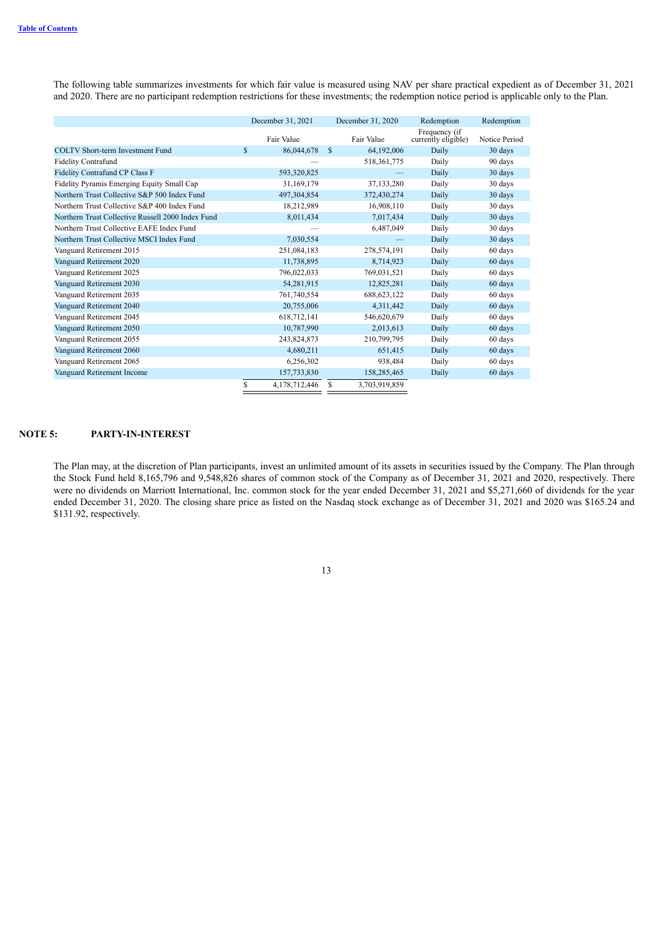The following table summarizes investments for which fair value is measured using NAV per share practical expedient as of December 31, 2021 and 2020. There are no participant redemption restrictions for these investments; the redemption notice period is applicable only to the Plan.

|                                                   | December 31, 2021   |               | December 31, 2020 | Redemption                           | Redemption    |
|---------------------------------------------------|---------------------|---------------|-------------------|--------------------------------------|---------------|
|                                                   | Fair Value          |               | Fair Value        | Frequency (if<br>currently eligible) | Notice Period |
| <b>COLTV Short-term Investment Fund</b>           | \$<br>86,044,678    | -S            | 64,192,006        | Daily                                | 30 days       |
| <b>Fidelity Contrafund</b>                        |                     |               | 518, 361, 775     | Daily                                | 90 days       |
| Fidelity Contrafund CP Class F                    | 593,320,825         |               |                   | Daily                                | 30 days       |
| Fidelity Pyramis Emerging Equity Small Cap        | 31,169,179          |               | 37,133,280        | Daily                                | 30 days       |
| Northern Trust Collective S&P 500 Index Fund      | 497,304,854         |               | 372,430,274       | Daily                                | 30 days       |
| Northern Trust Collective S&P 400 Index Fund      | 18,212,989          |               | 16,908,110        | Daily                                | 30 days       |
| Northern Trust Collective Russell 2000 Index Fund | 8,011,434           |               | 7,017,434         | Daily                                | 30 days       |
| Northern Trust Collective EAFE Index Fund         |                     |               | 6,487,049         | Daily                                | 30 days       |
| Northern Trust Collective MSCI Index Fund         | 7,030,554           |               |                   | Daily                                | 30 days       |
| Vanguard Retirement 2015                          | 251,084,183         |               | 278,574,191       | Daily                                | 60 days       |
| Vanguard Retirement 2020                          | 11,738,895          |               | 8,714,923         | Daily                                | 60 days       |
| Vanguard Retirement 2025                          | 796,022,033         |               | 769,031,521       | Daily                                | 60 days       |
| Vanguard Retirement 2030                          | 54,281,915          |               | 12,825,281        | Daily                                | 60 days       |
| Vanguard Retirement 2035                          | 761,740,554         |               | 688, 623, 122     | Daily                                | 60 days       |
| Vanguard Retirement 2040                          | 20,755,006          |               | 4,311,442         | Daily                                | 60 days       |
| Vanguard Retirement 2045                          | 618,712,141         |               | 546,620,679       | Daily                                | 60 days       |
| Vanguard Retirement 2050                          | 10,787,990          |               | 2,013,613         | Daily                                | 60 days       |
| Vanguard Retirement 2055                          | 243,824,873         |               | 210,799,795       | Daily                                | 60 days       |
| Vanguard Retirement 2060                          | 4,680,211           |               | 651,415           | Daily                                | 60 days       |
| Vanguard Retirement 2065                          | 6,256,302           |               | 938,484           | Daily                                | 60 days       |
| Vanguard Retirement Income                        | 157,733,830         |               | 158,285,465       | Daily                                | 60 days       |
|                                                   | \$<br>4,178,712,446 | <sup>\$</sup> | 3,703,919,859     |                                      |               |

### **NOTE 5: PARTY-IN-INTEREST**

The Plan may, at the discretion of Plan participants, invest an unlimited amount of its assets in securities issued by the Company. The Plan through the Stock Fund held 8,165,796 and 9,548,826 shares of common stock of the Company as of December 31, 2021 and 2020, respectively. There were no dividends on Marriott International, Inc. common stock for the year ended December 31, 2021 and \$5,271,660 of dividends for the year ended December 31, 2020. The closing share price as listed on the Nasdaq stock exchange as of December 31, 2021 and 2020 was \$165.24 and \$131.92, respectively.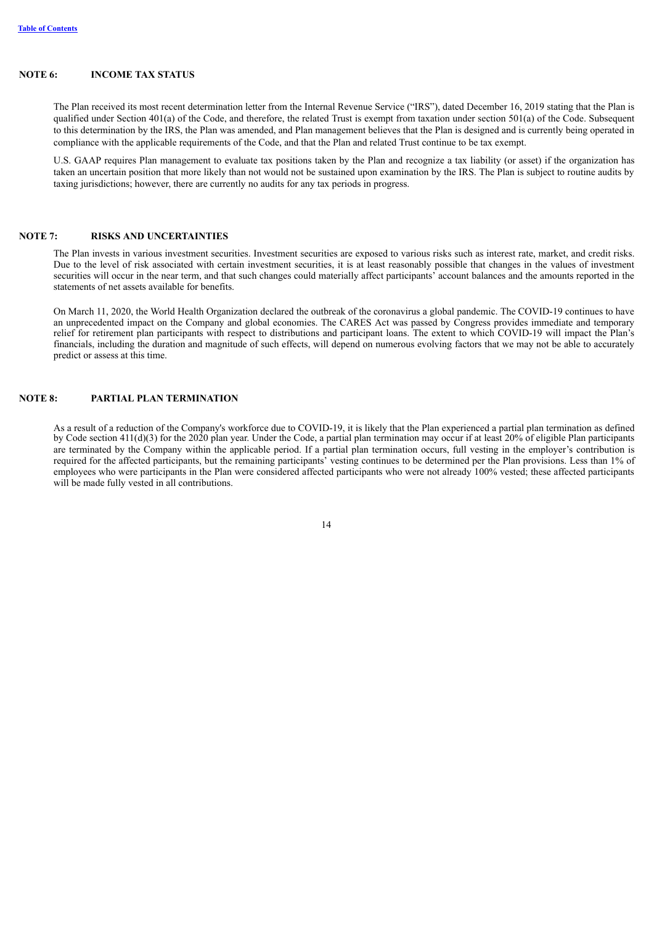#### **NOTE 6: INCOME TAX STATUS**

The Plan received its most recent determination letter from the Internal Revenue Service ("IRS"), dated December 16, 2019 stating that the Plan is qualified under Section 401(a) of the Code, and therefore, the related Trust is exempt from taxation under section 501(a) of the Code. Subsequent to this determination by the IRS, the Plan was amended, and Plan management believes that the Plan is designed and is currently being operated in compliance with the applicable requirements of the Code, and that the Plan and related Trust continue to be tax exempt.

U.S. GAAP requires Plan management to evaluate tax positions taken by the Plan and recognize a tax liability (or asset) if the organization has taken an uncertain position that more likely than not would not be sustained upon examination by the IRS. The Plan is subject to routine audits by taxing jurisdictions; however, there are currently no audits for any tax periods in progress.

#### **NOTE 7: RISKS AND UNCERTAINTIES**

The Plan invests in various investment securities. Investment securities are exposed to various risks such as interest rate, market, and credit risks. Due to the level of risk associated with certain investment securities, it is at least reasonably possible that changes in the values of investment securities will occur in the near term, and that such changes could materially affect participants' account balances and the amounts reported in the statements of net assets available for benefits.

On March 11, 2020, the World Health Organization declared the outbreak of the coronavirus a global pandemic. The COVID-19 continues to have an unprecedented impact on the Company and global economies. The CARES Act was passed by Congress provides immediate and temporary relief for retirement plan participants with respect to distributions and participant loans. The extent to which COVID-19 will impact the Plan's financials, including the duration and magnitude of such effects, will depend on numerous evolving factors that we may not be able to accurately predict or assess at this time.

#### **NOTE 8: PARTIAL PLAN TERMINATION**

As a result of a reduction of the Company's workforce due to COVID-19, it is likely that the Plan experienced a partial plan termination as defined by Code section 411(d)(3) for the 2020 plan year. Under the Code, a partial plan termination may occur if at least 20% of eligible Plan participants are terminated by the Company within the applicable period. If a partial plan termination occurs, full vesting in the employer's contribution is required for the affected participants, but the remaining participants' vesting continues to be determined per the Plan provisions. Less than 1% of employees who were participants in the Plan were considered affected participants who were not already 100% vested; these affected participants will be made fully vested in all contributions.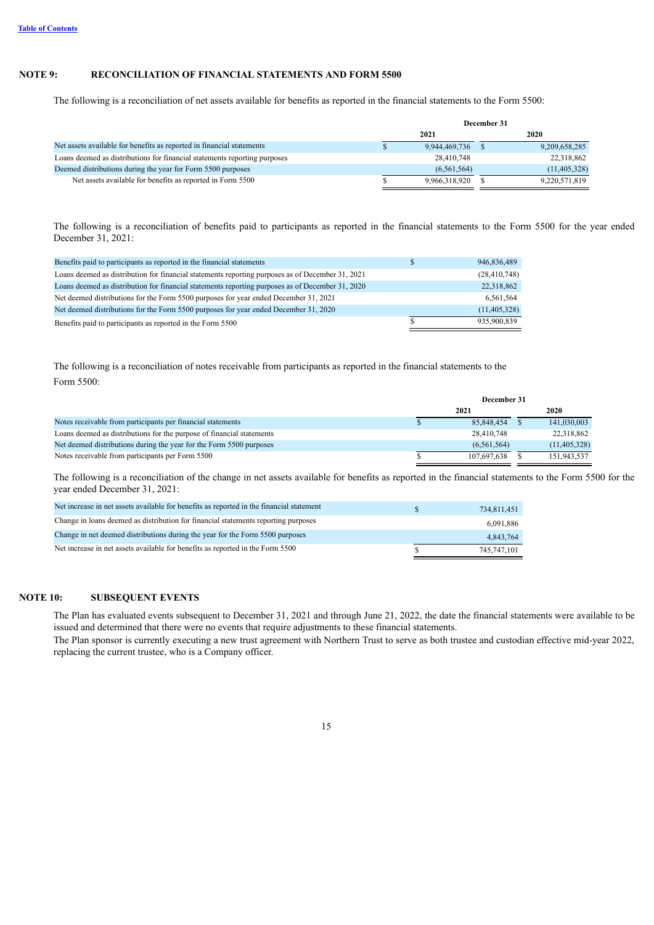### **NOTE 9: RECONCILIATION OF FINANCIAL STATEMENTS AND FORM 5500**

The following is a reconciliation of net assets available for benefits as reported in the financial statements to the Form 5500:

|                                                                           | December 31 |               |  |                |
|---------------------------------------------------------------------------|-------------|---------------|--|----------------|
|                                                                           |             | 2021          |  | 2020           |
| Net assets available for benefits as reported in financial statements     |             | 9,944,469,736 |  | 9,209,658,285  |
| Loans deemed as distributions for financial statements reporting purposes |             | 28,410,748    |  | 22,318,862     |
| Deemed distributions during the year for Form 5500 purposes               |             | (6, 561, 564) |  | (11, 405, 328) |
| Net assets available for benefits as reported in Form 5500                |             | 9,966,318,920 |  | 9,220,571,819  |

The following is a reconciliation of benefits paid to participants as reported in the financial statements to the Form 5500 for the year ended December 31, 2021:

| Benefits paid to participants as reported in the financial statements                            | 946,836,489    |
|--------------------------------------------------------------------------------------------------|----------------|
| Loans deemed as distribution for financial statements reporting purposes as of December 31, 2021 | (28, 410, 748) |
| Loans deemed as distribution for financial statements reporting purposes as of December 31, 2020 | 22,318,862     |
| Net deemed distributions for the Form 5500 purposes for year ended December 31, 2021             | 6,561,564      |
| Net deemed distributions for the Form 5500 purposes for year ended December 31, 2020             | (11, 405, 328) |
| Benefits paid to participants as reported in the Form 5500                                       | 935.900.839    |

The following is a reconciliation of notes receivable from participants as reported in the financial statements to the Form 5500:

|                                                                       | December 31 |               |  |                |
|-----------------------------------------------------------------------|-------------|---------------|--|----------------|
|                                                                       |             | 2021          |  | 2020           |
| Notes receivable from participants per financial statements           |             | 85.848.454    |  | 141,030,003    |
| Loans deemed as distributions for the purpose of financial statements |             | 28,410,748    |  | 22,318,862     |
| Net deemed distributions during the year for the Form 5500 purposes   |             | (6, 561, 564) |  | (11, 405, 328) |
| Notes receivable from participants per Form 5500                      |             | 107.697.638   |  | 151,943,537    |

The following is a reconciliation of the change in net assets available for benefits as reported in the financial statements to the Form 5500 for the year ended December 31, 2021:

| Net increase in net assets available for benefits as reported in the financial statement | 734.811.451 |
|------------------------------------------------------------------------------------------|-------------|
| Change in loans deemed as distribution for financial statements reporting purposes       | 6,091,886   |
| Change in net deemed distributions during the year for the Form 5500 purposes            | 4.843.764   |
| Net increase in net assets available for benefits as reported in the Form 5500           | 745.747.101 |

#### **NOTE 10: SUBSEQUENT EVENTS**

The Plan has evaluated events subsequent to December 31, 2021 and through June 21, 2022, the date the financial statements were available to be issued and determined that there were no events that require adjustments to these financial statements.

<span id="page-14-0"></span>The Plan sponsor is currently executing a new trust agreement with Northern Trust to serve as both trustee and custodian effective mid-year 2022, replacing the current trustee, who is a Company officer.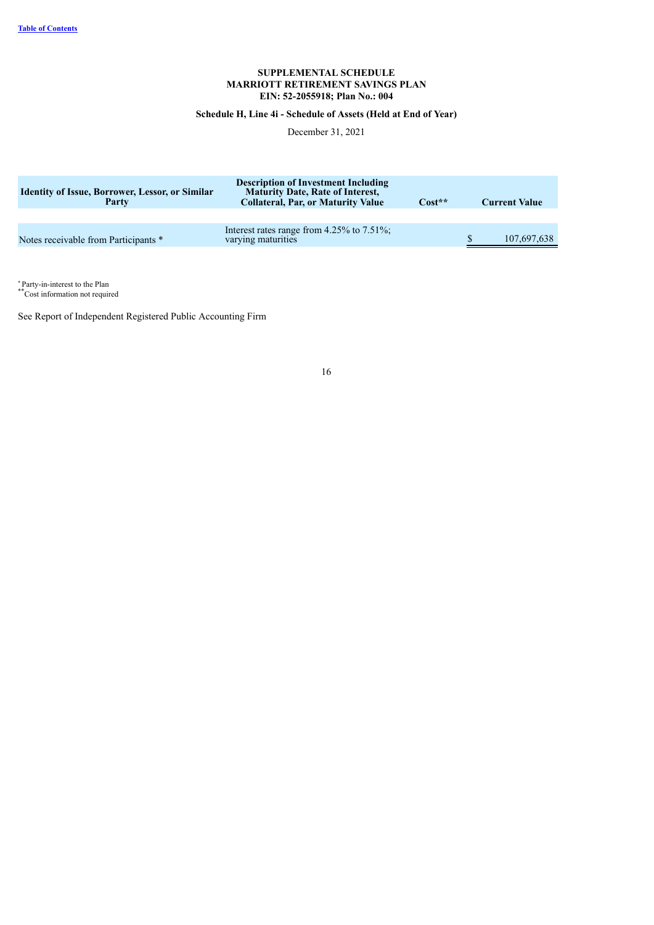### **SUPPLEMENTAL SCHEDULE MARRIOTT RETIREMENT SAVINGS PLAN EIN: 52-2055918; Plan No.: 004**

# **Schedule H, Line 4i - Schedule of Assets (Held at End of Year)**

December 31, 2021

| <b>Identity of Issue, Borrower, Lessor, or Similar</b><br>Party | <b>Description of Investment Including</b><br><b>Maturity Date, Rate of Interest,</b><br><b>Collateral, Par, or Maturity Value</b> | Cost** | <b>Current Value</b> |
|-----------------------------------------------------------------|------------------------------------------------------------------------------------------------------------------------------------|--------|----------------------|
|                                                                 |                                                                                                                                    |        |                      |
| Notes receivable from Participants *                            | Interest rates range from $4.25\%$ to $7.51\%$ ;<br>varying maturities                                                             |        | 107,697,638          |

Party-in-interest to the Plan  $\mathbb{P}^*$ 

Cost information not required

<span id="page-15-0"></span>See Report of Independent Registered Public Accounting Firm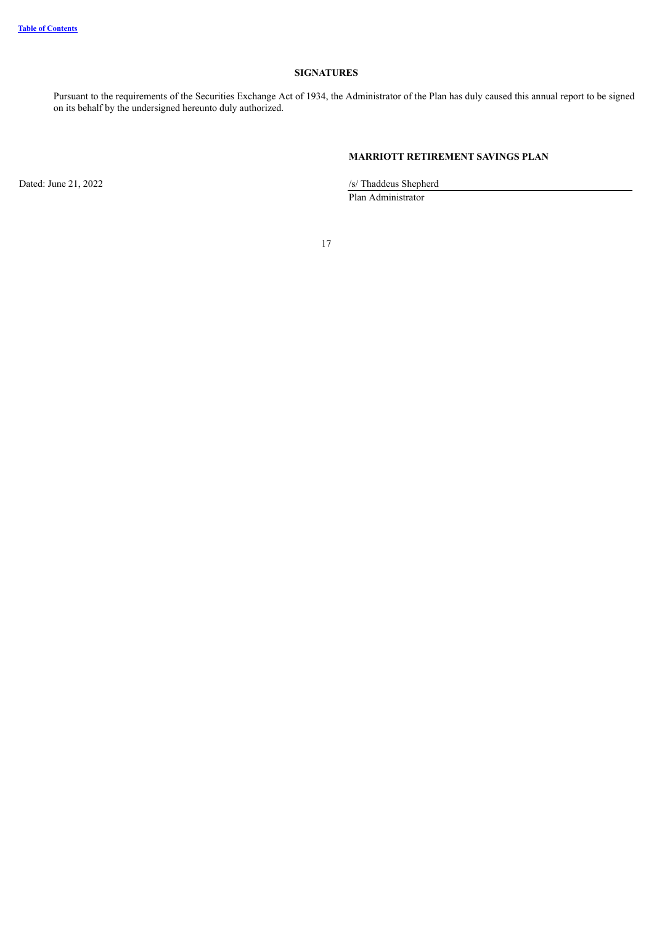# **SIGNATURES**

Pursuant to the requirements of the Securities Exchange Act of 1934, the Administrator of the Plan has duly caused this annual report to be signed on its behalf by the undersigned hereunto duly authorized.

# **MARRIOTT RETIREMENT SAVINGS PLAN**

Dated: June 21, 2022 /s/ Thaddeus Shepherd Plan Administrator